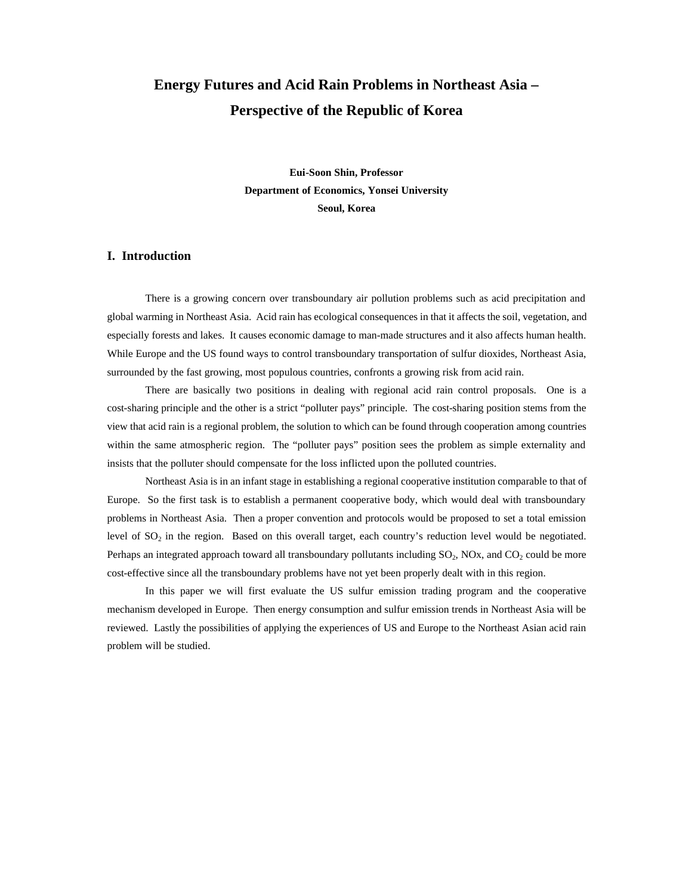# **Energy Futures and Acid Rain Problems in Northeast Asia – Perspective of the Republic of Korea**

**Eui-Soon Shin, Professor Department of Economics, Yonsei University Seoul, Korea**

# **I. Introduction**

There is a growing concern over transboundary air pollution problems such as acid precipitation and global warming in Northeast Asia. Acid rain has ecological consequences in that it affects the soil, vegetation, and especially forests and lakes. It causes economic damage to man-made structures and it also affects human health. While Europe and the US found ways to control transboundary transportation of sulfur dioxides, Northeast Asia, surrounded by the fast growing, most populous countries, confronts a growing risk from acid rain.

There are basically two positions in dealing with regional acid rain control proposals. One is a cost-sharing principle and the other is a strict "polluter pays" principle. The cost-sharing position stems from the view that acid rain is a regional problem, the solution to which can be found through cooperation among countries within the same atmospheric region. The "polluter pays" position sees the problem as simple externality and insists that the polluter should compensate for the loss inflicted upon the polluted countries.

Northeast Asia is in an infant stage in establishing a regional cooperative institution comparable to that of Europe. So the first task is to establish a permanent cooperative body, which would deal with transboundary problems in Northeast Asia. Then a proper convention and protocols would be proposed to set a total emission level of SO<sub>2</sub> in the region. Based on this overall target, each country's reduction level would be negotiated. Perhaps an integrated approach toward all transboundary pollutants including  $SO_2$ , NOx, and  $CO_2$  could be more cost-effective since all the transboundary problems have not yet been properly dealt with in this region.

In this paper we will first evaluate the US sulfur emission trading program and the cooperative mechanism developed in Europe. Then energy consumption and sulfur emission trends in Northeast Asia will be reviewed. Lastly the possibilities of applying the experiences of US and Europe to the Northeast Asian acid rain problem will be studied.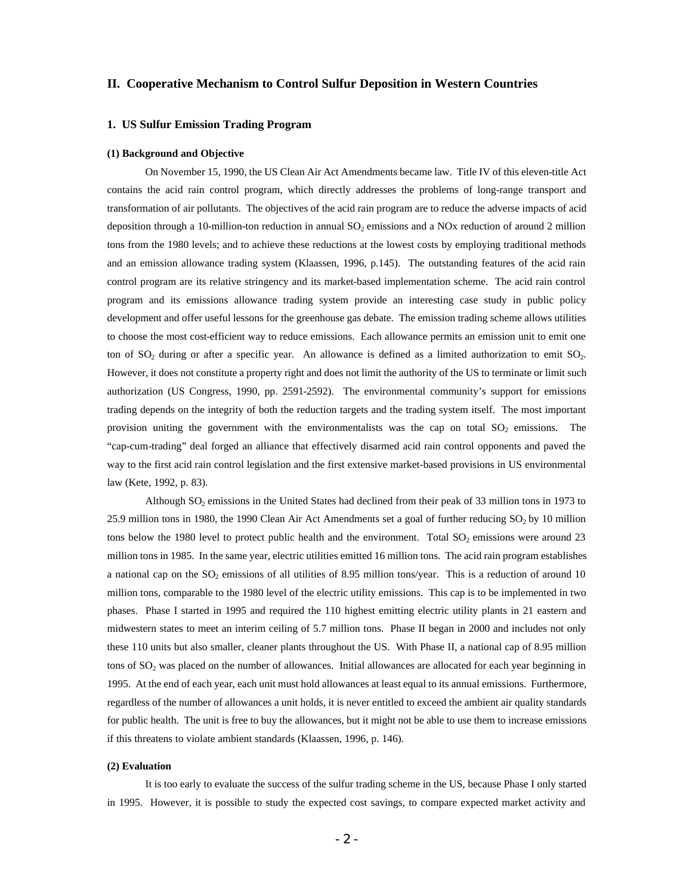# **II. Cooperative Mechanism to Control Sulfur Deposition in Western Countries**

## **1. US Sulfur Emission Trading Program**

#### **(1) Background and Objective**

On November 15, 1990, the US Clean Air Act Amendments became law. Title IV of this eleven-title Act contains the acid rain control program, which directly addresses the problems of long-range transport and transformation of air pollutants. The objectives of the acid rain program are to reduce the adverse impacts of acid deposition through a 10-million-ton reduction in annual  $SO_2$  emissions and a NOx reduction of around 2 million tons from the 1980 levels; and to achieve these reductions at the lowest costs by employing traditional methods and an emission allowance trading system (Klaassen, 1996, p.145). The outstanding features of the acid rain control program are its relative stringency and its market-based implementation scheme. The acid rain control program and its emissions allowance trading system provide an interesting case study in public policy development and offer useful lessons for the greenhouse gas debate. The emission trading scheme allows utilities to choose the most cost-efficient way to reduce emissions. Each allowance permits an emission unit to emit one ton of  $SO_2$  during or after a specific year. An allowance is defined as a limited authorization to emit  $SO_2$ . However, it does not constitute a property right and does not limit the authority of the US to terminate or limit such authorization (US Congress, 1990, pp. 2591-2592). The environmental community's support for emissions trading depends on the integrity of both the reduction targets and the trading system itself. The most important provision uniting the government with the environmentalists was the cap on total  $SO_2$  emissions. The "cap-cum-trading" deal forged an alliance that effectively disarmed acid rain control opponents and paved the way to the first acid rain control legislation and the first extensive market-based provisions in US environmental law (Kete, 1992, p. 83).

Although SO2 emissions in the United States had declined from their peak of 33 million tons in 1973 to 25.9 million tons in 1980, the 1990 Clean Air Act Amendments set a goal of further reducing  $SO_2$  by 10 million tons below the 1980 level to protect public health and the environment. Total  $SO_2$  emissions were around 23 million tons in 1985. In the same year, electric utilities emitted 16 million tons. The acid rain program establishes a national cap on the  $SO_2$  emissions of all utilities of 8.95 million tons/year. This is a reduction of around 10 million tons, comparable to the 1980 level of the electric utility emissions. This cap is to be implemented in two phases. Phase I started in 1995 and required the 110 highest emitting electric utility plants in 21 eastern and midwestern states to meet an interim ceiling of 5.7 million tons. Phase II began in 2000 and includes not only these 110 units but also smaller, cleaner plants throughout the US. With Phase II, a national cap of 8.95 million tons of SO<sub>2</sub> was placed on the number of allowances. Initial allowances are allocated for each year beginning in 1995. At the end of each year, each unit must hold allowances at least equal to its annual emissions. Furthermore, regardless of the number of allowances a unit holds, it is never entitled to exceed the ambient air quality standards for public health. The unit is free to buy the allowances, but it might not be able to use them to increase emissions if this threatens to violate ambient standards (Klaassen, 1996, p. 146).

#### **(2) Evaluation**

It is too early to evaluate the success of the sulfur trading scheme in the US, because Phase I only started in 1995. However, it is possible to study the expected cost savings, to compare expected market activity and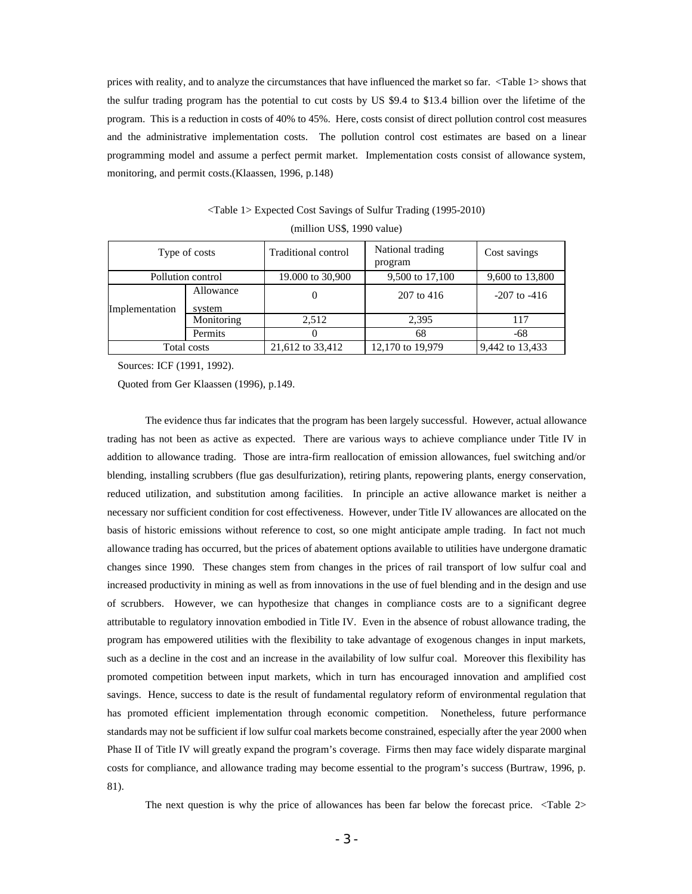prices with reality, and to analyze the circumstances that have influenced the market so far. <Table 1> shows that the sulfur trading program has the potential to cut costs by US \$9.4 to \$13.4 billion over the lifetime of the program. This is a reduction in costs of 40% to 45%. Here, costs consist of direct pollution control cost measures and the administrative implementation costs. The pollution control cost estimates are based on a linear programming model and assume a perfect permit market. Implementation costs consist of allowance system, monitoring, and permit costs.(Klaassen, 1996, p.148)

|                   |            | (IIIIIIIUII USS, 1770 VAIUU) |                             |                  |
|-------------------|------------|------------------------------|-----------------------------|------------------|
| Type of costs     |            | Traditional control          | National trading<br>program | Cost savings     |
| Pollution control |            | 19.000 to 30,900             | 9,500 to 17,100             | 9,600 to 13,800  |
|                   | Allowance  | 0                            | 207 to 416                  | $-207$ to $-416$ |
| Implementation    | system     |                              |                             |                  |
|                   | Monitoring | 2.512                        | 2,395                       | 117              |
|                   | Permits    | $_{0}$                       | 68                          | -68              |
| Total costs       |            | 21,612 to 33,412             | 12,170 to 19,979            | 9,442 to 13,433  |

<Table 1> Expected Cost Savings of Sulfur Trading (1995-2010)  $(million IIS$ 1990 value)$ 

Sources: ICF (1991, 1992).

Quoted from Ger Klaassen (1996), p.149.

The evidence thus far indicates that the program has been largely successful. However, actual allowance trading has not been as active as expected. There are various ways to achieve compliance under Title IV in addition to allowance trading. Those are intra-firm reallocation of emission allowances, fuel switching and/or blending, installing scrubbers (flue gas desulfurization), retiring plants, repowering plants, energy conservation, reduced utilization, and substitution among facilities. In principle an active allowance market is neither a necessary nor sufficient condition for cost effectiveness. However, under Title IV allowances are allocated on the basis of historic emissions without reference to cost, so one might anticipate ample trading. In fact not much allowance trading has occurred, but the prices of abatement options available to utilities have undergone dramatic changes since 1990. These changes stem from changes in the prices of rail transport of low sulfur coal and increased productivity in mining as well as from innovations in the use of fuel blending and in the design and use of scrubbers. However, we can hypothesize that changes in compliance costs are to a significant degree attributable to regulatory innovation embodied in Title IV. Even in the absence of robust allowance trading, the program has empowered utilities with the flexibility to take advantage of exogenous changes in input markets, such as a decline in the cost and an increase in the availability of low sulfur coal. Moreover this flexibility has promoted competition between input markets, which in turn has encouraged innovation and amplified cost savings. Hence, success to date is the result of fundamental regulatory reform of environmental regulation that has promoted efficient implementation through economic competition. Nonetheless, future performance standards may not be sufficient if low sulfur coal markets become constrained, especially after the year 2000 when Phase II of Title IV will greatly expand the program's coverage. Firms then may face widely disparate marginal costs for compliance, and allowance trading may become essential to the program's success (Burtraw, 1996, p. 81).

The next question is why the price of allowances has been far below the forecast price. <Table 2>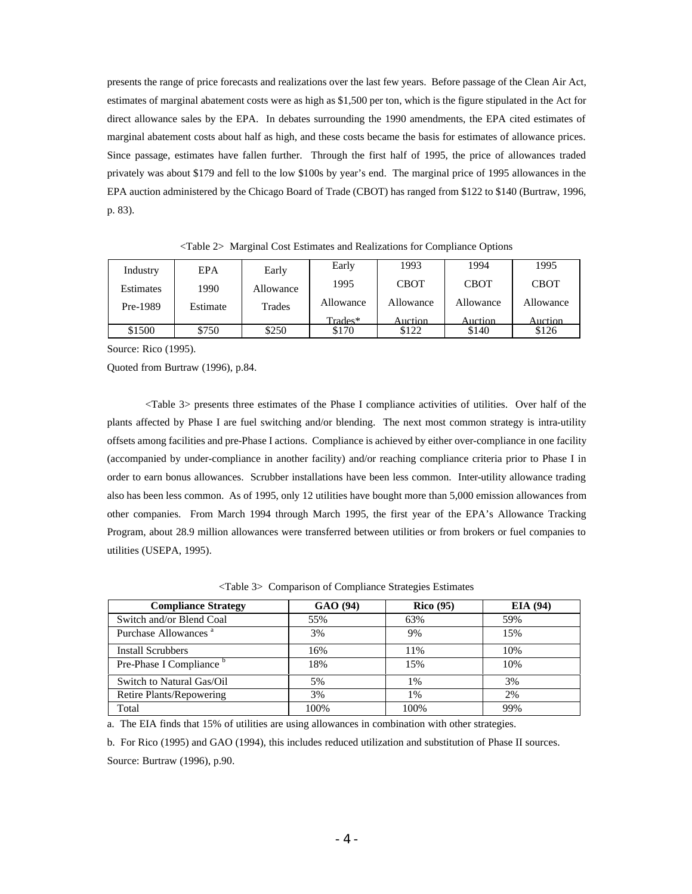presents the range of price forecasts and realizations over the last few years. Before passage of the Clean Air Act, estimates of marginal abatement costs were as high as \$1,500 per ton, which is the figure stipulated in the Act for direct allowance sales by the EPA. In debates surrounding the 1990 amendments, the EPA cited estimates of marginal abatement costs about half as high, and these costs became the basis for estimates of allowance prices. Since passage, estimates have fallen further. Through the first half of 1995, the price of allowances traded privately was about \$179 and fell to the low \$100s by year's end. The marginal price of 1995 allowances in the EPA auction administered by the Chicago Board of Trade (CBOT) has ranged from \$122 to \$140 (Burtraw, 1996, p. 83).

| Industry  | <b>EPA</b> | Early     | Early     | 1993        | 1994        | 1995        |
|-----------|------------|-----------|-----------|-------------|-------------|-------------|
| Estimates | 1990       | Allowance | 1995      | <b>CBOT</b> | <b>CBOT</b> | <b>CBOT</b> |
| Pre-1989  | Estimate   | Trades    | Allowance | Allowance   | Allowance   | Allowance   |
|           |            |           | Trades*   | Auction     | Auction     | Auction     |
| \$1500    | \$750      | \$250     | \$170     | \$122       | \$140       | \$126       |

<Table 2> Marginal Cost Estimates and Realizations for Compliance Options

Source: Rico (1995).

Quoted from Burtraw (1996), p.84.

<Table 3> presents three estimates of the Phase I compliance activities of utilities. Over half of the plants affected by Phase I are fuel switching and/or blending. The next most common strategy is intra-utility offsets among facilities and pre-Phase I actions. Compliance is achieved by either over-compliance in one facility (accompanied by under-compliance in another facility) and/or reaching compliance criteria prior to Phase I in order to earn bonus allowances. Scrubber installations have been less common. Inter-utility allowance trading also has been less common. As of 1995, only 12 utilities have bought more than 5,000 emission allowances from other companies. From March 1994 through March 1995, the first year of the EPA's Allowance Tracking Program, about 28.9 million allowances were transferred between utilities or from brokers or fuel companies to utilities (USEPA, 1995).

<Table 3> Comparison of Compliance Strategies Estimates

| <b>Compliance Strategy</b>          | GAO (94) | <b>Rico</b> (95) | <b>EIA</b> (94) |
|-------------------------------------|----------|------------------|-----------------|
| Switch and/or Blend Coal            | 55%      | 63%              | 59%             |
| Purchase Allowances <sup>a</sup>    | 3%       | 9%               | 15%             |
| <b>Install Scrubbers</b>            | 16%      | 11%              | 10%             |
| Pre-Phase I Compliance <sup>o</sup> | 18%      | 15%              | 10%             |
| Switch to Natural Gas/Oil           | 5%       | $1\%$            | 3%              |
| Retire Plants/Repowering            | 3%       | $1\%$            | 2%              |
| Total                               | 100%     | 100%             | 99%             |

a. The EIA finds that 15% of utilities are using allowances in combination with other strategies.

b. For Rico (1995) and GAO (1994), this includes reduced utilization and substitution of Phase II sources. Source: Burtraw (1996), p.90.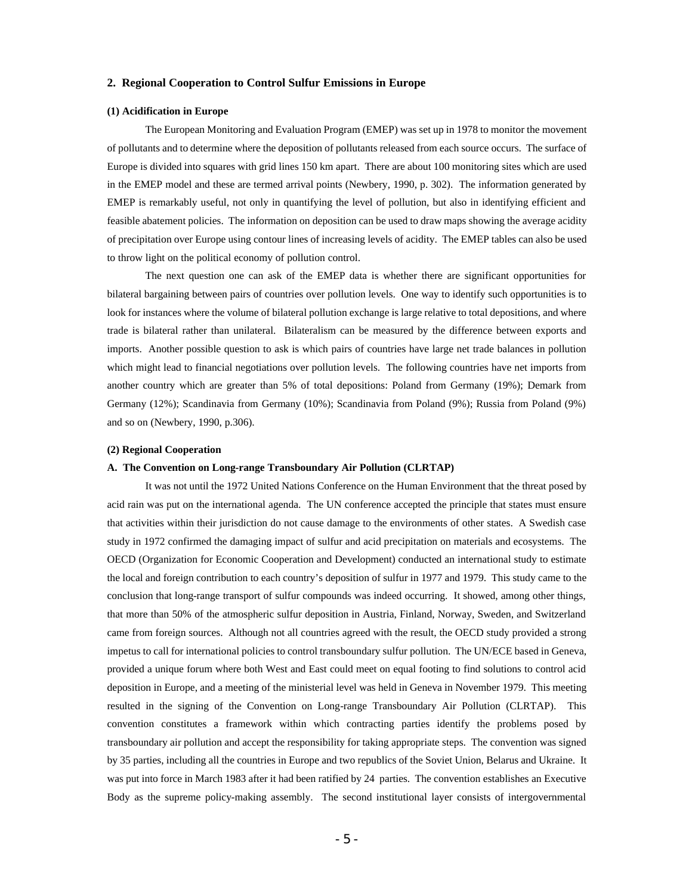#### **2. Regional Cooperation to Control Sulfur Emissions in Europe**

#### **(1) Acidification in Europe**

The European Monitoring and Evaluation Program (EMEP) was set up in 1978 to monitor the movement of pollutants and to determine where the deposition of pollutants released from each source occurs. The surface of Europe is divided into squares with grid lines 150 km apart. There are about 100 monitoring sites which are used in the EMEP model and these are termed arrival points (Newbery, 1990, p. 302). The information generated by EMEP is remarkably useful, not only in quantifying the level of pollution, but also in identifying efficient and feasible abatement policies. The information on deposition can be used to draw maps showing the average acidity of precipitation over Europe using contour lines of increasing levels of acidity. The EMEP tables can also be used to throw light on the political economy of pollution control.

The next question one can ask of the EMEP data is whether there are significant opportunities for bilateral bargaining between pairs of countries over pollution levels. One way to identify such opportunities is to look for instances where the volume of bilateral pollution exchange is large relative to total depositions, and where trade is bilateral rather than unilateral. Bilateralism can be measured by the difference between exports and imports. Another possible question to ask is which pairs of countries have large net trade balances in pollution which might lead to financial negotiations over pollution levels. The following countries have net imports from another country which are greater than 5% of total depositions: Poland from Germany (19%); Demark from Germany (12%); Scandinavia from Germany (10%); Scandinavia from Poland (9%); Russia from Poland (9%) and so on (Newbery, 1990, p.306).

#### **(2) Regional Cooperation**

#### **A. The Convention on Long-range Transboundary Air Pollution (CLRTAP)**

It was not until the 1972 United Nations Conference on the Human Environment that the threat posed by acid rain was put on the international agenda. The UN conference accepted the principle that states must ensure that activities within their jurisdiction do not cause damage to the environments of other states. A Swedish case study in 1972 confirmed the damaging impact of sulfur and acid precipitation on materials and ecosystems. The OECD (Organization for Economic Cooperation and Development) conducted an international study to estimate the local and foreign contribution to each country's deposition of sulfur in 1977 and 1979. This study came to the conclusion that long-range transport of sulfur compounds was indeed occurring. It showed, among other things, that more than 50% of the atmospheric sulfur deposition in Austria, Finland, Norway, Sweden, and Switzerland came from foreign sources. Although not all countries agreed with the result, the OECD study provided a strong impetus to call for international policies to control transboundary sulfur pollution. The UN/ECE based in Geneva, provided a unique forum where both West and East could meet on equal footing to find solutions to control acid deposition in Europe, and a meeting of the ministerial level was held in Geneva in November 1979. This meeting resulted in the signing of the Convention on Long-range Transboundary Air Pollution (CLRTAP). This convention constitutes a framework within which contracting parties identify the problems posed by transboundary air pollution and accept the responsibility for taking appropriate steps. The convention was signed by 35 parties, including all the countries in Europe and two republics of the Soviet Union, Belarus and Ukraine. It was put into force in March 1983 after it had been ratified by 24 parties. The convention establishes an Executive Body as the supreme policy-making assembly. The second institutional layer consists of intergovernmental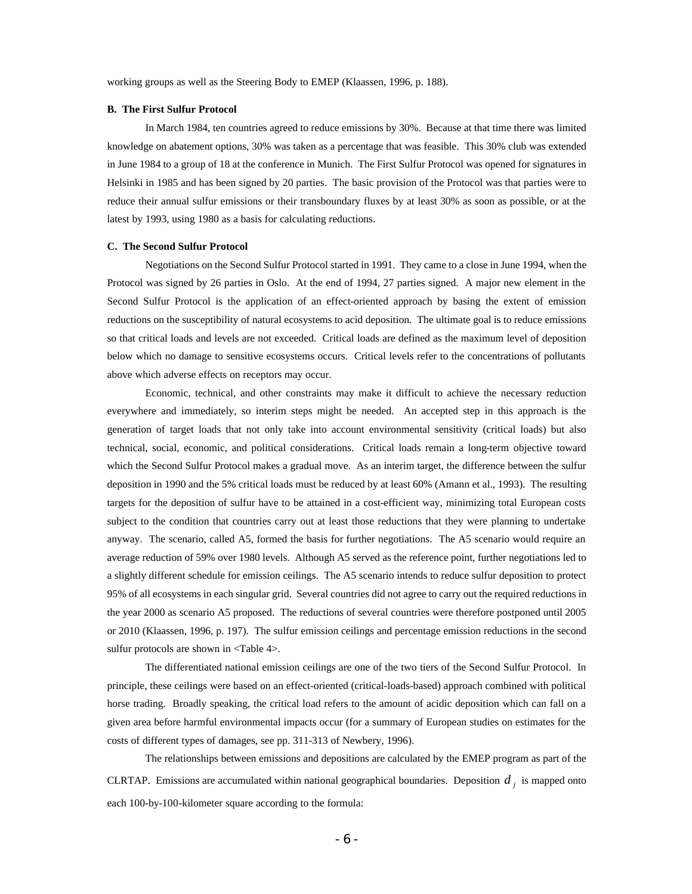working groups as well as the Steering Body to EMEP (Klaassen, 1996, p. 188).

#### **B. The First Sulfur Protocol**

In March 1984, ten countries agreed to reduce emissions by 30%. Because at that time there was limited knowledge on abatement options, 30% was taken as a percentage that was feasible. This 30% club was extended in June 1984 to a group of 18 at the conference in Munich. The First Sulfur Protocol was opened for signatures in Helsinki in 1985 and has been signed by 20 parties. The basic provision of the Protocol was that parties were to reduce their annual sulfur emissions or their transboundary fluxes by at least 30% as soon as possible, or at the latest by 1993, using 1980 as a basis for calculating reductions.

#### **C. The Second Sulfur Protocol**

Negotiations on the Second Sulfur Protocol started in 1991. They came to a close in June 1994, when the Protocol was signed by 26 parties in Oslo. At the end of 1994, 27 parties signed. A major new element in the Second Sulfur Protocol is the application of an effect-oriented approach by basing the extent of emission reductions on the susceptibility of natural ecosystems to acid deposition. The ultimate goal is to reduce emissions so that critical loads and levels are not exceeded. Critical loads are defined as the maximum level of deposition below which no damage to sensitive ecosystems occurs. Critical levels refer to the concentrations of pollutants above which adverse effects on receptors may occur.

Economic, technical, and other constraints may make it difficult to achieve the necessary reduction everywhere and immediately, so interim steps might be needed. An accepted step in this approach is the generation of target loads that not only take into account environmental sensitivity (critical loads) but also technical, social, economic, and political considerations. Critical loads remain a long-term objective toward which the Second Sulfur Protocol makes a gradual move. As an interim target, the difference between the sulfur deposition in 1990 and the 5% critical loads must be reduced by at least 60% (Amann et al., 1993). The resulting targets for the deposition of sulfur have to be attained in a cost-efficient way, minimizing total European costs subject to the condition that countries carry out at least those reductions that they were planning to undertake anyway. The scenario, called A5, formed the basis for further negotiations. The A5 scenario would require an average reduction of 59% over 1980 levels. Although A5 served as the reference point, further negotiations led to a slightly different schedule for emission ceilings. The A5 scenario intends to reduce sulfur deposition to protect 95% of all ecosystems in each singular grid. Several countries did not agree to carry out the required reductions in the year 2000 as scenario A5 proposed. The reductions of several countries were therefore postponed until 2005 or 2010 (Klaassen, 1996, p. 197). The sulfur emission ceilings and percentage emission reductions in the second sulfur protocols are shown in <Table 4>.

The differentiated national emission ceilings are one of the two tiers of the Second Sulfur Protocol. In principle, these ceilings were based on an effect-oriented (critical-loads-based) approach combined with political horse trading. Broadly speaking, the critical load refers to the amount of acidic deposition which can fall on a given area before harmful environmental impacts occur (for a summary of European studies on estimates for the costs of different types of damages, see pp. 311-313 of Newbery, 1996).

The relationships between emissions and depositions are calculated by the EMEP program as part of the CLRTAP. Emissions are accumulated within national geographical boundaries. Deposition  $d_j$  is mapped onto each 100-by-100-kilometer square according to the formula: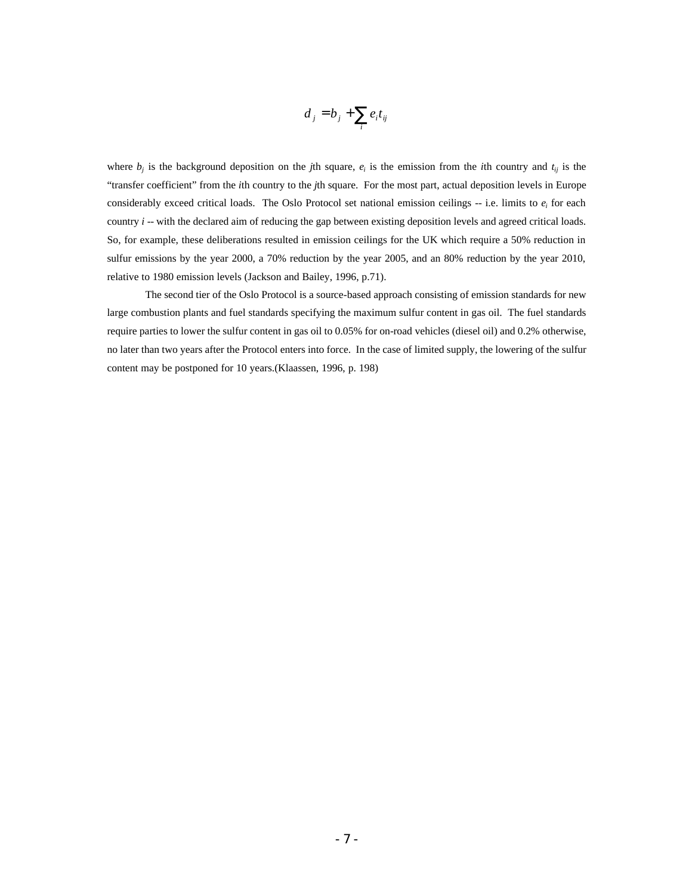$$
d_j = b_j + \sum_i e_i t_{ij}
$$

where  $b_j$  is the background deposition on the *j*th square,  $e_i$  is the emission from the *i*th country and  $t_{ij}$  is the "transfer coefficient" from the *i*th country to the *j*th square. For the most part, actual deposition levels in Europe considerably exceed critical loads. The Oslo Protocol set national emission ceilings  $-$  i.e. limits to  $e_i$  for each country *i* -- with the declared aim of reducing the gap between existing deposition levels and agreed critical loads. So, for example, these deliberations resulted in emission ceilings for the UK which require a 50% reduction in sulfur emissions by the year 2000, a 70% reduction by the year 2005, and an 80% reduction by the year 2010, relative to 1980 emission levels (Jackson and Bailey, 1996, p.71).

The second tier of the Oslo Protocol is a source-based approach consisting of emission standards for new large combustion plants and fuel standards specifying the maximum sulfur content in gas oil. The fuel standards require parties to lower the sulfur content in gas oil to 0.05% for on-road vehicles (diesel oil) and 0.2% otherwise, no later than two years after the Protocol enters into force. In the case of limited supply, the lowering of the sulfur content may be postponed for 10 years.(Klaassen, 1996, p. 198)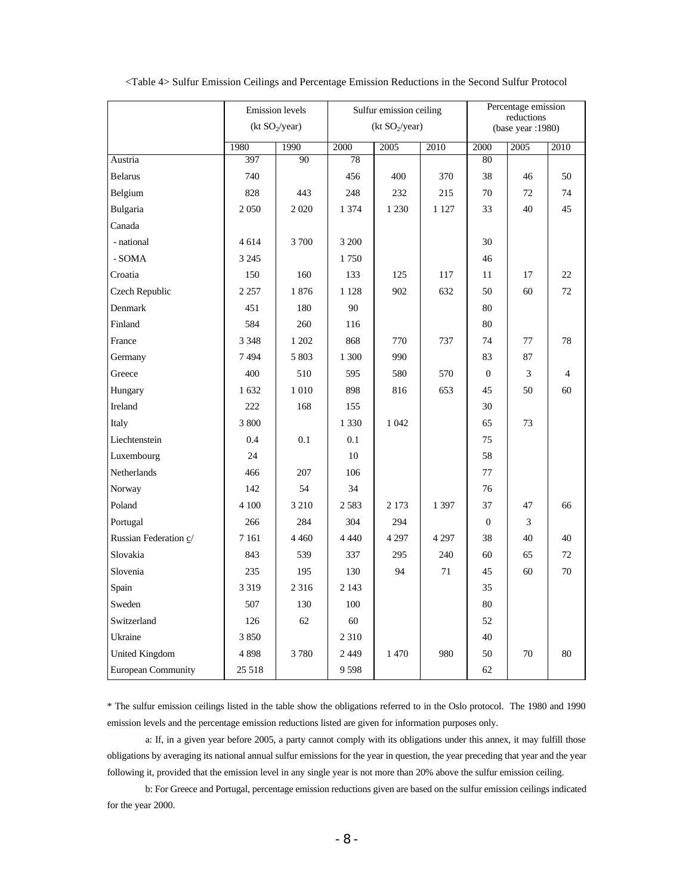|                           |         | <b>Emission</b> levels<br>(kt SO <sub>2</sub> /year) | Sulfur emission ceiling<br>(kt SO <sub>2</sub> /year) |         |         | Percentage emission<br>reductions<br>(base year : 1980) |      |                |
|---------------------------|---------|------------------------------------------------------|-------------------------------------------------------|---------|---------|---------------------------------------------------------|------|----------------|
|                           | 1980    | 1990                                                 | 2000                                                  | 2005    | 2010    | 2000                                                    | 2005 | 2010           |
| Austria                   | 397     | $\overline{90}$                                      | 78                                                    |         |         | 80                                                      |      |                |
| <b>Belarus</b>            | 740     |                                                      | 456                                                   | 400     | 370     | 38                                                      | 46   | 50             |
| Belgium                   | 828     | 443                                                  | 248                                                   | 232     | 215     | 70                                                      | 72   | 74             |
| Bulgaria                  | 2050    | 2020                                                 | 1 374                                                 | 1 2 3 0 | 1 1 2 7 | 33                                                      | 40   | 45             |
| Canada                    |         |                                                      |                                                       |         |         |                                                         |      |                |
| - national                | 4614    | 3700                                                 | 3 200                                                 |         |         | 30                                                      |      |                |
| - SOMA                    | 3 2 4 5 |                                                      | 1750                                                  |         |         | 46                                                      |      |                |
| Croatia                   | 150     | 160                                                  | 133                                                   | 125     | 117     | 11                                                      | 17   | 22             |
| Czech Republic            | 2 2 5 7 | 1876                                                 | 1 1 2 8                                               | 902     | 632     | 50                                                      | 60   | 72             |
| Denmark                   | 451     | 180                                                  | 90                                                    |         |         | 80                                                      |      |                |
| Finland                   | 584     | 260                                                  | 116                                                   |         |         | 80                                                      |      |                |
| France                    | 3 3 4 8 | 1 202                                                | 868                                                   | 770     | 737     | 74                                                      | 77   | 78             |
| Germany                   | 7494    | 5 803                                                | 1 300                                                 | 990     |         | 83                                                      | 87   |                |
| Greece                    | 400     | 510                                                  | 595                                                   | 580     | 570     | $\Omega$                                                | 3    | $\overline{4}$ |
| Hungary                   | 1632    | 1 0 1 0                                              | 898                                                   | 816     | 653     | 45                                                      | 50   | 60             |
| Ireland                   | 222     | 168                                                  | 155                                                   |         |         | 30                                                      |      |                |
| Italy                     | 3 800   |                                                      | 1 3 3 0                                               | 1 0 4 2 |         | 65                                                      | 73   |                |
| Liechtenstein             | 0.4     | 0.1                                                  | 0.1                                                   |         |         | 75                                                      |      |                |
| Luxembourg                | 24      |                                                      | 10                                                    |         |         | 58                                                      |      |                |
| Netherlands               | 466     | 207                                                  | 106                                                   |         |         | 77                                                      |      |                |
| Norway                    | 142     | 54                                                   | 34                                                    |         |         | 76                                                      |      |                |
| Poland                    | 4 100   | 3 2 1 0                                              | 2583                                                  | 2 1 7 3 | 1 3 9 7 | 37                                                      | 47   | 66             |
| Portugal                  | 266     | 284                                                  | 304                                                   | 294     |         | $\boldsymbol{0}$                                        | 3    |                |
| Russian Federation c/     | 7 1 6 1 | 4 4 6 0                                              | 4 4 4 0                                               | 4 2 9 7 | 4 2 9 7 | 38                                                      | 40   | 40             |
| Slovakia                  | 843     | 539                                                  | 337                                                   | 295     | 240     | 60                                                      | 65   | 72             |
| Slovenia                  | 235     | 195                                                  | 130                                                   | 94      | 71      | 45                                                      | 60   | 70             |
| Spain                     | 3 3 1 9 | 2 3 1 6                                              | 2 1 4 3                                               |         |         | 35                                                      |      |                |
| Sweden                    | 507     | 130                                                  | 100                                                   |         |         | 80                                                      |      |                |
| Switzerland               | 126     | 62                                                   | 60                                                    |         |         | 52                                                      |      |                |
| Ukraine                   | 3850    |                                                      | 2 3 1 0                                               |         |         | 40                                                      |      |                |
| <b>United Kingdom</b>     | 4898    | 3780                                                 | 2 4 4 9                                               | 1 470   | 980     | 50                                                      | 70   | 80             |
| <b>European Community</b> | 25 518  |                                                      | 9598                                                  |         |         | 62                                                      |      |                |

<Table 4> Sulfur Emission Ceilings and Percentage Emission Reductions in the Second Sulfur Protocol

\* The sulfur emission ceilings listed in the table show the obligations referred to in the Oslo protocol. The 1980 and 1990 emission levels and the percentage emission reductions listed are given for information purposes only.

a: If, in a given year before 2005, a party cannot comply with its obligations under this annex, it may fulfill those obligations by averaging its national annual sulfur emissions for the year in question, the year preceding that year and the year following it, provided that the emission level in any single year is not more than 20% above the sulfur emission ceiling.

b: For Greece and Portugal, percentage emission reductions given are based on the sulfur emission ceilings indicated for the year 2000.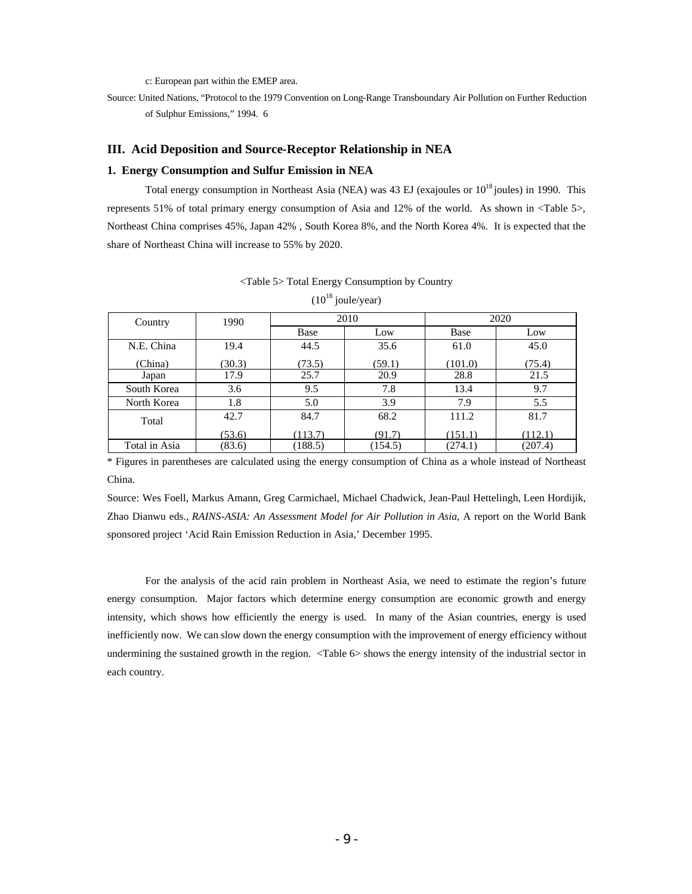c: European part within the EMEP area.

Source: United Nations, "Protocol to the 1979 Convention on Long-Range Transboundary Air Pollution on Further Reduction of Sulphur Emissions," 1994. 6

## **III. Acid Deposition and Source-Receptor Relationship in NEA**

#### **1. Energy Consumption and Sulfur Emission in NEA**

Total energy consumption in Northeast Asia (NEA) was 43 EJ (exajoules or  $10^{18}$  joules) in 1990. This represents 51% of total primary energy consumption of Asia and 12% of the world. As shown in <Table 5>, Northeast China comprises 45%, Japan 42% , South Korea 8%, and the North Korea 4%. It is expected that the share of Northeast China will increase to 55% by 2020.

| Country       | 1990   |         | 2010    |         | 2020    |
|---------------|--------|---------|---------|---------|---------|
|               |        | Base    | Low     | Base    | Low     |
| N.E. China    | 19.4   | 44.5    | 35.6    | 61.0    | 45.0    |
| (China)       | (30.3) | (73.5)  | (59.1)  | (101.0) | (75.4)  |
| Japan         | 17.9   | 25.7    | 20.9    | 28.8    | 21.5    |
| South Korea   | 3.6    | 9.5     | 7.8     | 13.4    | 9.7     |
| North Korea   | 1.8    | 5.0     | 3.9     | 7.9     | 5.5     |
| Total         | 42.7   | 84.7    | 68.2    | 111.2   | 81.7    |
|               | (53.6) | (113.7) | (91.7)  | (151.1) | (112.1) |
| Total in Asia | (83.6) | (188.5) | (154.5) | (274.1) | (207.4) |

<Table 5> Total Energy Consumption by Country  $(10^{18}$  joule/year)

\* Figures in parentheses are calculated using the energy consumption of China as a whole instead of Northeast China.

Source: Wes Foell, Markus Amann, Greg Carmichael, Michael Chadwick, Jean-Paul Hettelingh, Leen Hordijik, Zhao Dianwu eds., *RAINS-ASIA: An Assessment Model for Air Pollution in Asia*, A report on the World Bank sponsored project 'Acid Rain Emission Reduction in Asia,' December 1995.

For the analysis of the acid rain problem in Northeast Asia, we need to estimate the region's future energy consumption. Major factors which determine energy consumption are economic growth and energy intensity, which shows how efficiently the energy is used. In many of the Asian countries, energy is used inefficiently now. We can slow down the energy consumption with the improvement of energy efficiency without undermining the sustained growth in the region. <Table 6> shows the energy intensity of the industrial sector in each country.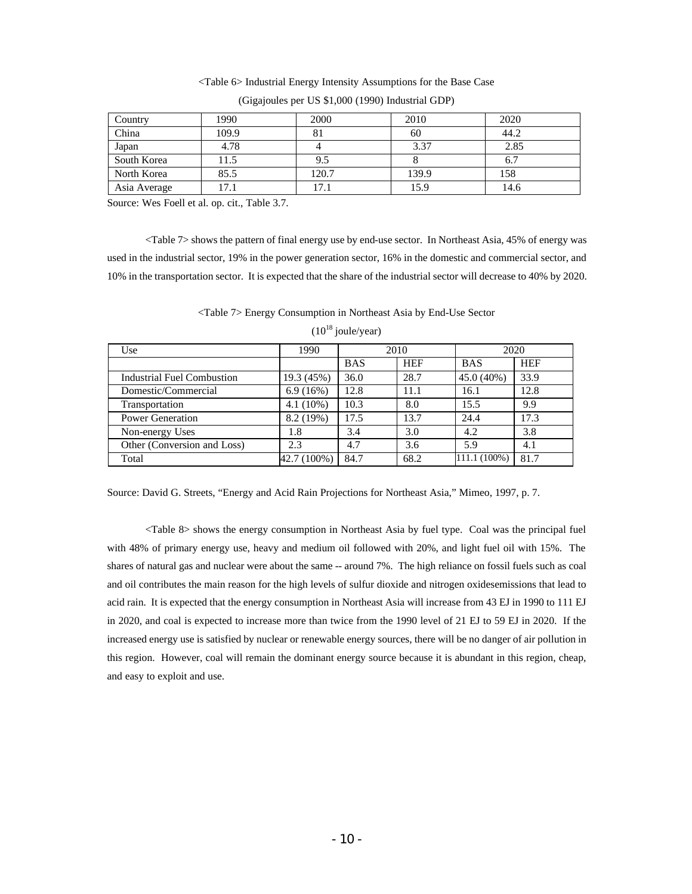## <Table 6> Industrial Energy Intensity Assumptions for the Base Case

| Country      | 1990  | 2000  | 2010  | 2020 |
|--------------|-------|-------|-------|------|
| China        | 109.9 | 81    | 60    | 44.2 |
| Japan        | 4.78  |       | 3.37  | 2.85 |
| South Korea  | 11.5  | 9.5   |       | 6.7  |
| North Korea  | 85.5  | 120.7 | 139.9 | 158  |
| Asia Average | 17.1  | 17.1  | 15.9  | 14.6 |

(Gigajoules per US \$1,000 (1990) Industrial GDP)

Source: Wes Foell et al. op. cit., Table 3.7.

<Table 7> shows the pattern of final energy use by end-use sector. In Northeast Asia, 45% of energy was used in the industrial sector, 19% in the power generation sector, 16% in the domestic and commercial sector, and 10% in the transportation sector. It is expected that the share of the industrial sector will decrease to 40% by 2020.

| <table 7=""> Energy Consumption in Northeast Asia by End-Use Sector</table> |  |
|-----------------------------------------------------------------------------|--|
| $(10^{18}$ joule/year)                                                      |  |

| Use                         | 1990        | 2010       |            | 2020         |            |
|-----------------------------|-------------|------------|------------|--------------|------------|
|                             |             | <b>BAS</b> | <b>HEF</b> | <b>BAS</b>   | <b>HEF</b> |
| Industrial Fuel Combustion  | 19.3 (45%)  | 36.0       | 28.7       | 45.0 (40%)   | 33.9       |
| Domestic/Commercial         | 6.9(16%)    | 12.8       | 11.1       | 16.1         | 12.8       |
| Transportation              | $4.1(10\%)$ | 10.3       | 8.0        | 15.5         | 9.9        |
| <b>Power Generation</b>     | 8.2 (19%)   | 17.5       | 13.7       | 24.4         | 17.3       |
| Non-energy Uses             | 1.8         | 3.4        | 3.0        | 4.2          | 3.8        |
| Other (Conversion and Loss) | 2.3         | 4.7        | 3.6        | 5.9          | 4.1        |
| Total                       | 42.7 (100%) | 84.7       | 68.2       | 111.1 (100%) | 81.7       |

Source: David G. Streets, "Energy and Acid Rain Projections for Northeast Asia," Mimeo, 1997, p. 7.

<Table 8> shows the energy consumption in Northeast Asia by fuel type. Coal was the principal fuel with 48% of primary energy use, heavy and medium oil followed with 20%, and light fuel oil with 15%. The shares of natural gas and nuclear were about the same -- around 7%. The high reliance on fossil fuels such as coal and oil contributes the main reason for the high levels of sulfur dioxide and nitrogen oxidesemissions that lead to acid rain. It is expected that the energy consumption in Northeast Asia will increase from 43 EJ in 1990 to 111 EJ in 2020, and coal is expected to increase more than twice from the 1990 level of 21 EJ to 59 EJ in 2020. If the increased energy use is satisfied by nuclear or renewable energy sources, there will be no danger of air pollution in this region. However, coal will remain the dominant energy source because it is abundant in this region, cheap, and easy to exploit and use.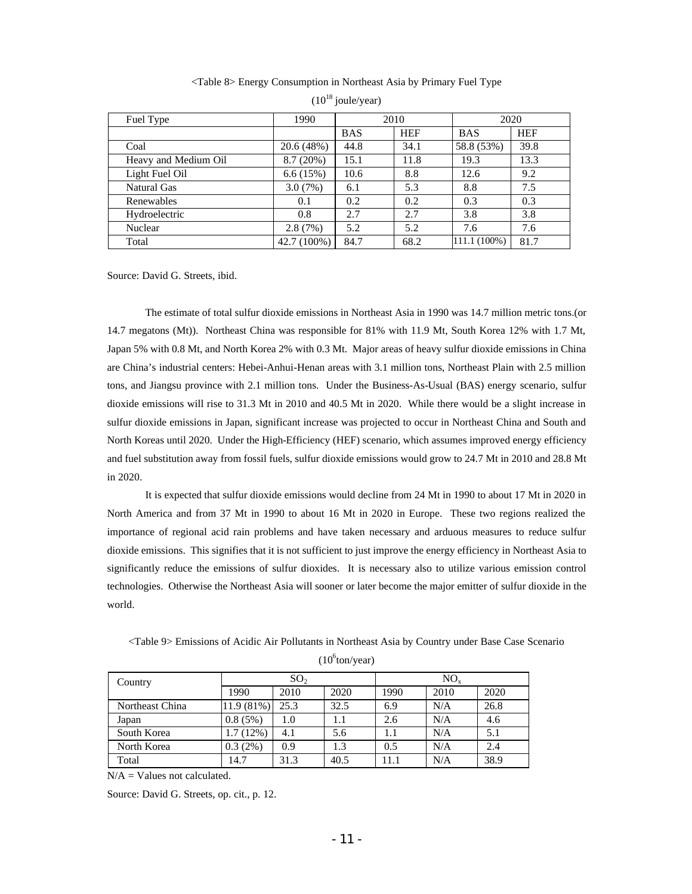|  |  | <table 8=""> Energy Consumption in Northeast Asia by Primary Fuel Type</table> |  |  |
|--|--|--------------------------------------------------------------------------------|--|--|
|  |  |                                                                                |  |  |

| Fuel Type            | 1990        | 2010       |            | 2020         |            |
|----------------------|-------------|------------|------------|--------------|------------|
|                      |             | <b>BAS</b> | <b>HEF</b> | <b>BAS</b>   | <b>HEF</b> |
| Coal                 | 20.6 (48%)  | 44.8       | 34.1       | 58.8 (53%)   | 39.8       |
| Heavy and Medium Oil | 8.7(20%)    | 15.1       | 11.8       | 19.3         | 13.3       |
| Light Fuel Oil       | 6.6(15%)    | 10.6       | 8.8        | 12.6         | 9.2        |
| Natural Gas          | 3.0(7%)     | 6.1        | 5.3        | 8.8          | 7.5        |
| Renewables           | 0.1         | 0.2        | 0.2        | 0.3          | 0.3        |
| Hydroelectric        | 0.8         | 2.7        | 2.7        | 3.8          | 3.8        |
| Nuclear              | 2.8(7%)     | 5.2        | 5.2        | 7.6          | 7.6        |
| Total                | 42.7 (100%) | 84.7       | 68.2       | 111.1 (100%) | 81.7       |

|  | $(10^{18})$ joule/year) |
|--|-------------------------|
|  |                         |
|  |                         |

Source: David G. Streets, ibid.

The estimate of total sulfur dioxide emissions in Northeast Asia in 1990 was 14.7 million metric tons.(or 14.7 megatons (Mt)). Northeast China was responsible for 81% with 11.9 Mt, South Korea 12% with 1.7 Mt, Japan 5% with 0.8 Mt, and North Korea 2% with 0.3 Mt. Major areas of heavy sulfur dioxide emissions in China are China's industrial centers: Hebei-Anhui-Henan areas with 3.1 million tons, Northeast Plain with 2.5 million tons, and Jiangsu province with 2.1 million tons. Under the Business-As-Usual (BAS) energy scenario, sulfur dioxide emissions will rise to 31.3 Mt in 2010 and 40.5 Mt in 2020. While there would be a slight increase in sulfur dioxide emissions in Japan, significant increase was projected to occur in Northeast China and South and North Koreas until 2020. Under the High-Efficiency (HEF) scenario, which assumes improved energy efficiency and fuel substitution away from fossil fuels, sulfur dioxide emissions would grow to 24.7 Mt in 2010 and 28.8 Mt in 2020.

It is expected that sulfur dioxide emissions would decline from 24 Mt in 1990 to about 17 Mt in 2020 in North America and from 37 Mt in 1990 to about 16 Mt in 2020 in Europe. These two regions realized the importance of regional acid rain problems and have taken necessary and arduous measures to reduce sulfur dioxide emissions. This signifies that it is not sufficient to just improve the energy efficiency in Northeast Asia to significantly reduce the emissions of sulfur dioxides. It is necessary also to utilize various emission control technologies. Otherwise the Northeast Asia will sooner or later become the major emitter of sulfur dioxide in the world.

| Table 9> Emissions of Acidic Air Pollutants in Northeast Asia by Country under Base Case Scenario |
|---------------------------------------------------------------------------------------------------|
| $(10^6$ ton/year)                                                                                 |

| Country         | SO <sub>2</sub> |      |      | $NO_{x}$ |      |      |
|-----------------|-----------------|------|------|----------|------|------|
|                 | 1990            | 2010 | 2020 | 1990     | 2010 | 2020 |
| Northeast China | 11.9 (81%)      | 25.3 | 32.5 | 6.9      | N/A  | 26.8 |
| Japan           | 0.8(5%)         | 1.0  |      | 2.6      | N/A  | 4.6  |
| South Korea     | 1.7(12%)        | 4.1  | 5.6  |          | N/A  | 5.1  |
| North Korea     | $0.3(2\%)$      | 0.9  | 1.3  | 0.5      | N/A  | 2.4  |
| Total           | 14.7            | 31.3 | 40.5 | 11.1     | N/A  | 38.9 |

N/A = Values not calculated.

Source: David G. Streets, op. cit., p. 12.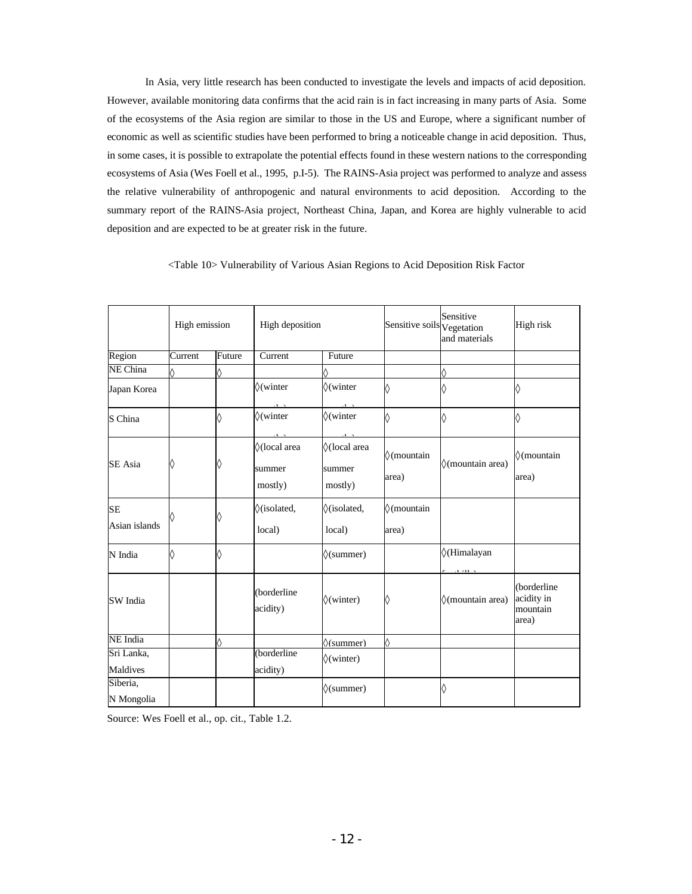In Asia, very little research has been conducted to investigate the levels and impacts of acid deposition. However, available monitoring data confirms that the acid rain is in fact increasing in many parts of Asia. Some of the ecosystems of the Asia region are similar to those in the US and Europe, where a significant number of economic as well as scientific studies have been performed to bring a noticeable change in acid deposition. Thus, in some cases, it is possible to extrapolate the potential effects found in these western nations to the corresponding ecosystems of Asia (Wes Foell et al., 1995, p.I-5). The RAINS-Asia project was performed to analyze and assess the relative vulnerability of anthropogenic and natural environments to acid deposition. According to the summary report of the RAINS-Asia project, Northeast China, Japan, and Korea are highly vulnerable to acid deposition and are expected to be at greater risk in the future.

|                            | High emission |                           | High deposition                   |                                                                   | Sensitive soils Vegetation  | Sensitive<br>and materials             | High risk                                      |
|----------------------------|---------------|---------------------------|-----------------------------------|-------------------------------------------------------------------|-----------------------------|----------------------------------------|------------------------------------------------|
| Region                     | Current       | Future                    | Current                           | Future                                                            |                             |                                        |                                                |
| NE China                   | $\times$      | $\mathbf{x}$              |                                   | $\times$                                                          |                             | ×                                      |                                                |
| Japan Korea                |               |                           | $\times$ (winter                  | $\times$ (winter                                                  | $\boldsymbol{\mathsf{x}}$   | ×                                      | $\times$                                       |
| S China                    |               | $\times$                  | $\times$ (winter                  | $\times$ (winter<br>$\mathbf{H}^{\prime}$ , $\mathbf{V}^{\prime}$ | $\mathsf{x}$                | $\mathsf{x}$                           | ×                                              |
| SE Asia                    | $\times$      | $\pmb{\times}$            | ×(local area<br>summer<br>mostly) | ×(local area<br>summer<br>mostly)                                 | $\times$ (mountain<br>area) | x(mountain area)                       | $\times$ (mountain<br>area)                    |
| <b>SE</b><br>Asian islands | ×             | $\times$                  | x(isolated,<br>local)             | x(isolated,<br>local)                                             | $\times$ (mountain<br>area) |                                        |                                                |
| N India                    | $\times$      | $\boldsymbol{\mathsf{x}}$ |                                   | $\times$ (summer)                                                 |                             | $\times$ (Himalayan<br>$-1$ , and $-1$ |                                                |
| SW India                   |               |                           | (borderline<br>acidity)           | $\times$ (winter)                                                 | ×                           | x(mountain area)                       | (borderline<br>acidity in<br>mountain<br>area) |
| NE India                   |               | ×                         |                                   | $\times$ (summer)                                                 | $\boldsymbol{\mathsf{x}}$   |                                        |                                                |
| Sri Lanka,<br>Maldives     |               |                           | (borderline<br>acidity)           | $\times$ (winter)                                                 |                             |                                        |                                                |
| Siberia,<br>N Mongolia     |               |                           |                                   | $\times$ (summer)                                                 |                             | ×                                      |                                                |

<Table 10> Vulnerability of Various Asian Regions to Acid Deposition Risk Factor

Source: Wes Foell et al., op. cit., Table 1.2.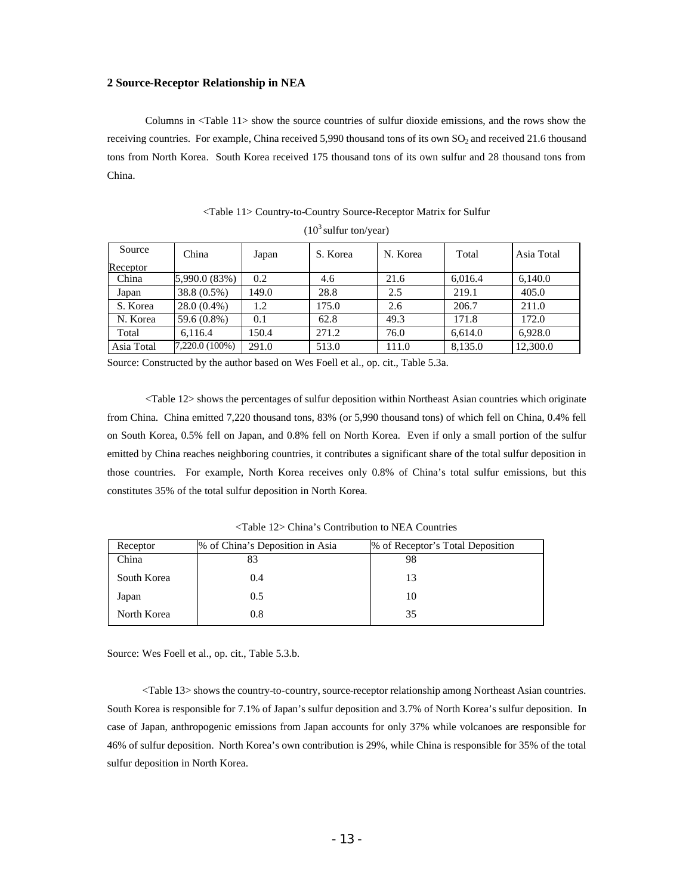#### **2 Source-Receptor Relationship in NEA**

Columns in <Table 11> show the source countries of sulfur dioxide emissions, and the rows show the receiving countries. For example, China received 5,990 thousand tons of its own SO<sub>2</sub> and received 21.6 thousand tons from North Korea. South Korea received 175 thousand tons of its own sulfur and 28 thousand tons from China.

| Source     | China          | Japan | S. Korea | N. Korea | Total   | Asia Total |
|------------|----------------|-------|----------|----------|---------|------------|
| Receptor   |                |       |          |          |         |            |
| China      | 5,990.0 (83%)  | 0.2   | 4.6      | 21.6     | 6,016.4 | 6.140.0    |
| Japan      | 38.8 (0.5%)    | 149.0 | 28.8     | 2.5      | 219.1   | 405.0      |
| S. Korea   | $28.0(0.4\%)$  | 1.2   | 175.0    | 2.6      | 206.7   | 211.0      |
| N. Korea   | 59.6 (0.8%)    | 0.1   | 62.8     | 49.3     | 171.8   | 172.0      |
| Total      | 6.116.4        | 150.4 | 271.2    | 76.0     | 6.614.0 | 6,928.0    |
| Asia Total | 7,220.0 (100%) | 291.0 | 513.0    | 111.0    | 8,135.0 | 12,300.0   |

<Table 11> Country-to-Country Source-Receptor Matrix for Sulfur  $(10^3 \text{ sulfur ton/year})$ 

Source: Constructed by the author based on Wes Foell et al., op. cit., Table 5.3a.

<Table 12> shows the percentages of sulfur deposition within Northeast Asian countries which originate from China. China emitted 7,220 thousand tons, 83% (or 5,990 thousand tons) of which fell on China, 0.4% fell on South Korea, 0.5% fell on Japan, and 0.8% fell on North Korea. Even if only a small portion of the sulfur emitted by China reaches neighboring countries, it contributes a significant share of the total sulfur deposition in those countries. For example, North Korea receives only 0.8% of China's total sulfur emissions, but this constitutes 35% of the total sulfur deposition in North Korea.

| Receptor    | % of China's Deposition in Asia | % of Receptor's Total Deposition |
|-------------|---------------------------------|----------------------------------|
| China       | 83                              | 98                               |
| South Korea | 0.4                             | 13                               |
| Japan       | 0.5                             | 10                               |
| North Korea | 0.8                             | 35                               |

<Table 12> China's Contribution to NEA Countries

Source: Wes Foell et al., op. cit., Table 5.3.b.

<Table 13> shows the country-to-country, source-receptor relationship among Northeast Asian countries. South Korea is responsible for 7.1% of Japan's sulfur deposition and 3.7% of North Korea's sulfur deposition. In case of Japan, anthropogenic emissions from Japan accounts for only 37% while volcanoes are responsible for 46% of sulfur deposition. North Korea's own contribution is 29%, while China is responsible for 35% of the total sulfur deposition in North Korea.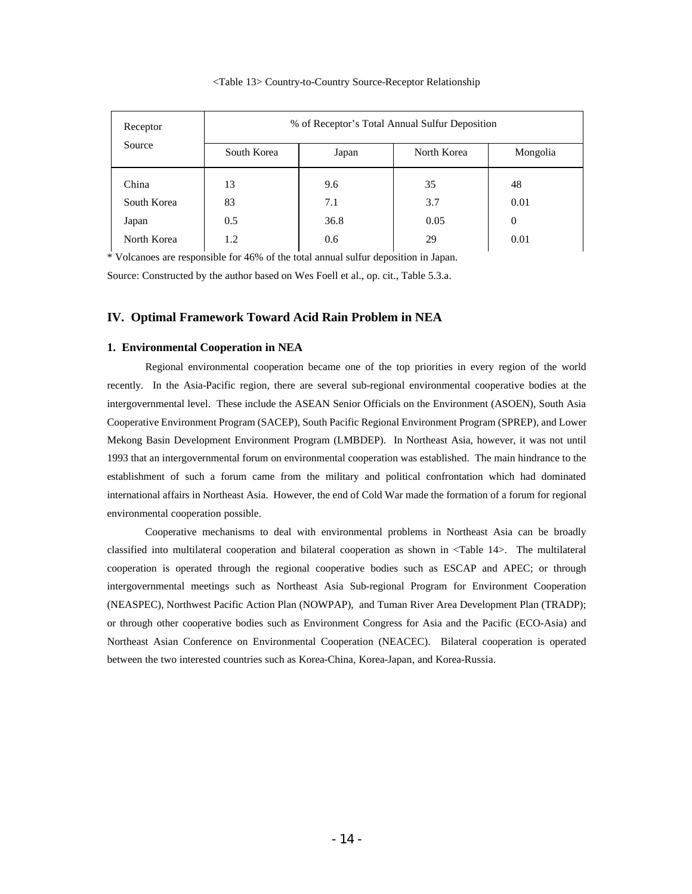| Receptor    | % of Receptor's Total Annual Sulfur Deposition |       |             |                |  |  |
|-------------|------------------------------------------------|-------|-------------|----------------|--|--|
| Source      | South Korea                                    | Japan | North Korea | Mongolia       |  |  |
| China       | 13                                             | 9.6   | 35          | 48             |  |  |
| South Korea | 83                                             | 7.1   | 3.7         | 0.01           |  |  |
| Japan       | 0.5                                            | 36.8  | 0.05        | $\overline{0}$ |  |  |
| North Korea | 1.2                                            | 0.6   | 29          | 0.01           |  |  |

#### <Table 13> Country-to-Country Source-Receptor Relationship

\* Volcanoes are responsible for 46% of the total annual sulfur deposition in Japan. Source: Constructed by the author based on Wes Foell et al., op. cit., Table 5.3.a.

# **IV. Optimal Framework Toward Acid Rain Problem in NEA**

## **1. Environmental Cooperation in NEA**

Regional environmental cooperation became one of the top priorities in every region of the world recently. In the Asia-Pacific region, there are several sub-regional environmental cooperative bodies at the intergovernmental level. These include the ASEAN Senior Officials on the Environment (ASOEN), South Asia Cooperative Environment Program (SACEP), South Pacific Regional Environment Program (SPREP), and Lower Mekong Basin Development Environment Program (LMBDEP). In Northeast Asia, however, it was not until 1993 that an intergovernmental forum on environmental cooperation was established. The main hindrance to the establishment of such a forum came from the military and political confrontation which had dominated international affairs in Northeast Asia. However, the end of Cold War made the formation of a forum for regional environmental cooperation possible.

Cooperative mechanisms to deal with environmental problems in Northeast Asia can be broadly classified into multilateral cooperation and bilateral cooperation as shown in <Table 14>. The multilateral cooperation is operated through the regional cooperative bodies such as ESCAP and APEC; or through intergovernmental meetings such as Northeast Asia Sub-regional Program for Environment Cooperation (NEASPEC), Northwest Pacific Action Plan (NOWPAP), and Tuman River Area Development Plan (TRADP); or through other cooperative bodies such as Environment Congress for Asia and the Pacific (ECO-Asia) and Northeast Asian Conference on Environmental Cooperation (NEACEC). Bilateral cooperation is operated between the two interested countries such as Korea-China, Korea-Japan, and Korea-Russia.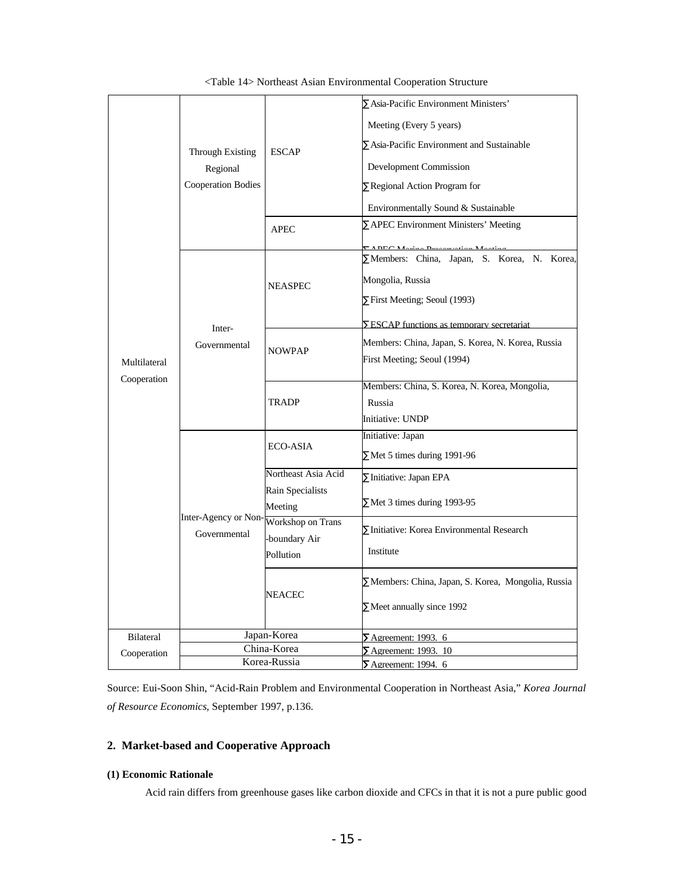|                  |                                      |                     | Asia-Pacific Environment Ministers'               |  |
|------------------|--------------------------------------|---------------------|---------------------------------------------------|--|
|                  |                                      | <b>ESCAP</b>        | Meeting (Every 5 years)                           |  |
|                  |                                      |                     |                                                   |  |
|                  | <b>Through Existing</b>              |                     | Asia-Pacific Environment and Sustainable          |  |
|                  | Regional                             |                     | Development Commission                            |  |
|                  | <b>Cooperation Bodies</b>            |                     | Regional Action Program for                       |  |
|                  |                                      |                     | Environmentally Sound & Sustainable               |  |
|                  |                                      | <b>APEC</b>         | <b>APEC Environment Ministers' Meeting</b>        |  |
|                  |                                      |                     |                                                   |  |
|                  |                                      |                     | Members: China, Japan, S. Korea, N. Korea,        |  |
|                  |                                      | <b>NEASPEC</b>      | Mongolia, Russia                                  |  |
|                  |                                      |                     | First Meeting; Seoul (1993)                       |  |
|                  |                                      |                     | ESCAP functions as temporary secretariat          |  |
|                  | Inter-<br>Governmental               |                     |                                                   |  |
|                  |                                      | <b>NOWPAP</b>       | Members: China, Japan, S. Korea, N. Korea, Russia |  |
| Multilateral     |                                      |                     | First Meeting; Seoul (1994)                       |  |
| Cooperation      |                                      | <b>TRADP</b>        | Members: China, S. Korea, N. Korea, Mongolia,     |  |
|                  |                                      |                     | Russia                                            |  |
|                  |                                      |                     | Initiative: UNDP                                  |  |
|                  |                                      | <b>ECO-ASIA</b>     | Initiative: Japan                                 |  |
|                  | Inter-Agency or Non-<br>Governmental |                     | Met 5 times during 1991-96                        |  |
|                  |                                      | Northeast Asia Acid | Initiative: Japan EPA                             |  |
|                  |                                      | Rain Specialists    |                                                   |  |
|                  |                                      | Meeting             | Met 3 times during 1993-95                        |  |
|                  |                                      | Workshop on Trans   | Initiative: Korea Environmental Research          |  |
|                  |                                      | boundary Air        |                                                   |  |
|                  |                                      | Pollution           | Institute                                         |  |
|                  |                                      | NEACEC              | Members: China, Japan, S. Korea, Mongolia, Russia |  |
|                  |                                      |                     |                                                   |  |
|                  |                                      |                     | Meet annually since 1992                          |  |
| <b>Bilateral</b> |                                      | Japan-Korea         | Agreement: 1993. 6                                |  |
| Cooperation      | China-Korea                          |                     | Agreement: 1993. 10                               |  |
|                  |                                      | Korea-Russia        | Agreement: 1994. 6                                |  |

<Table 14> Northeast Asian Environmental Cooperation Structure

Source: Eui-Soon Shin, "Acid-Rain Problem and Environmental Cooperation in Northeast Asia," *Korea Journal of Resource Economics*, September 1997, p.136.

# **2. Market-based and Cooperative Approach**

# **(1) Economic Rationale**

Acid rain differs from greenhouse gases like carbon dioxide and CFCs in that it is not a pure public good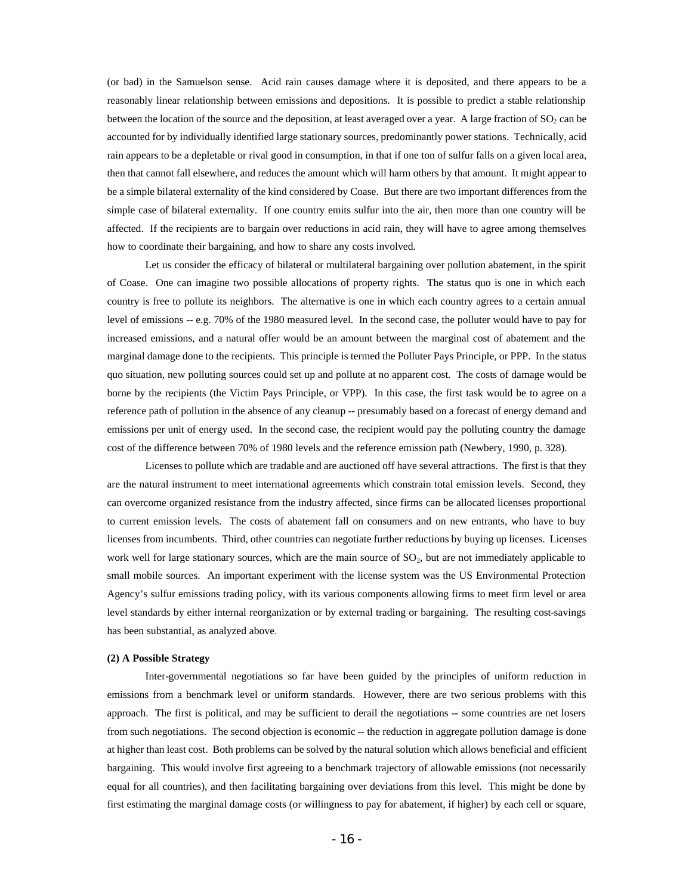(or bad) in the Samuelson sense. Acid rain causes damage where it is deposited, and there appears to be a reasonably linear relationship between emissions and depositions. It is possible to predict a stable relationship between the location of the source and the deposition, at least averaged over a year. A large fraction of  $SO_2$  can be accounted for by individually identified large stationary sources, predominantly power stations. Technically, acid rain appears to be a depletable or rival good in consumption, in that if one ton of sulfur falls on a given local area, then that cannot fall elsewhere, and reduces the amount which will harm others by that amount. It might appear to be a simple bilateral externality of the kind considered by Coase. But there are two important differences from the simple case of bilateral externality. If one country emits sulfur into the air, then more than one country will be affected. If the recipients are to bargain over reductions in acid rain, they will have to agree among themselves how to coordinate their bargaining, and how to share any costs involved.

Let us consider the efficacy of bilateral or multilateral bargaining over pollution abatement, in the spirit of Coase. One can imagine two possible allocations of property rights. The status quo is one in which each country is free to pollute its neighbors. The alternative is one in which each country agrees to a certain annual level of emissions -- e.g. 70% of the 1980 measured level. In the second case, the polluter would have to pay for increased emissions, and a natural offer would be an amount between the marginal cost of abatement and the marginal damage done to the recipients. This principle is termed the Polluter Pays Principle, or PPP. In the status quo situation, new polluting sources could set up and pollute at no apparent cost. The costs of damage would be borne by the recipients (the Victim Pays Principle, or VPP). In this case, the first task would be to agree on a reference path of pollution in the absence of any cleanup -- presumably based on a forecast of energy demand and emissions per unit of energy used. In the second case, the recipient would pay the polluting country the damage cost of the difference between 70% of 1980 levels and the reference emission path (Newbery, 1990, p. 328).

Licenses to pollute which are tradable and are auctioned off have several attractions. The first is that they are the natural instrument to meet international agreements which constrain total emission levels. Second, they can overcome organized resistance from the industry affected, since firms can be allocated licenses proportional to current emission levels. The costs of abatement fall on consumers and on new entrants, who have to buy licenses from incumbents. Third, other countries can negotiate further reductions by buying up licenses. Licenses work well for large stationary sources, which are the main source of  $SO<sub>2</sub>$ , but are not immediately applicable to small mobile sources. An important experiment with the license system was the US Environmental Protection Agency's sulfur emissions trading policy, with its various components allowing firms to meet firm level or area level standards by either internal reorganization or by external trading or bargaining. The resulting cost-savings has been substantial, as analyzed above.

## **(2) A Possible Strategy**

Inter-governmental negotiations so far have been guided by the principles of uniform reduction in emissions from a benchmark level or uniform standards. However, there are two serious problems with this approach. The first is political, and may be sufficient to derail the negotiations -- some countries are net losers from such negotiations. The second objection is economic -- the reduction in aggregate pollution damage is done at higher than least cost. Both problems can be solved by the natural solution which allows beneficial and efficient bargaining. This would involve first agreeing to a benchmark trajectory of allowable emissions (not necessarily equal for all countries), and then facilitating bargaining over deviations from this level. This might be done by first estimating the marginal damage costs (or willingness to pay for abatement, if higher) by each cell or square,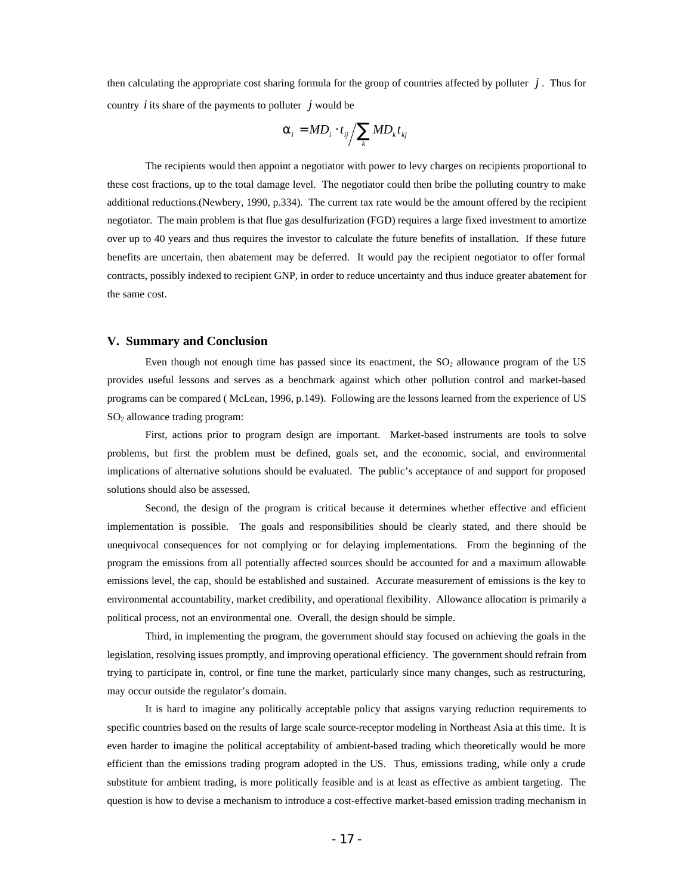then calculating the appropriate cost sharing formula for the group of countries affected by polluter  $j$ . Thus for country  $\hat{i}$  its share of the payments to polluter  $\hat{j}$  would be

$$
\boldsymbol{a}_{i} = M D_{i} \cdot t_{ij} / \sum_{k} M D_{k} t_{kj}
$$

The recipients would then appoint a negotiator with power to levy charges on recipients proportional to these cost fractions, up to the total damage level. The negotiator could then bribe the polluting country to make additional reductions.(Newbery, 1990, p.334). The current tax rate would be the amount offered by the recipient negotiator. The main problem is that flue gas desulfurization (FGD) requires a large fixed investment to amortize over up to 40 years and thus requires the investor to calculate the future benefits of installation. If these future benefits are uncertain, then abatement may be deferred. It would pay the recipient negotiator to offer formal contracts, possibly indexed to recipient GNP, in order to reduce uncertainty and thus induce greater abatement for the same cost.

#### **V. Summary and Conclusion**

Even though not enough time has passed since its enactment, the  $SO<sub>2</sub>$  allowance program of the US provides useful lessons and serves as a benchmark against which other pollution control and market-based programs can be compared ( McLean, 1996, p.149). Following are the lessons learned from the experience of US SO2 allowance trading program:

First, actions prior to program design are important. Market-based instruments are tools to solve problems, but first the problem must be defined, goals set, and the economic, social, and environmental implications of alternative solutions should be evaluated. The public's acceptance of and support for proposed solutions should also be assessed.

Second, the design of the program is critical because it determines whether effective and efficient implementation is possible. The goals and responsibilities should be clearly stated, and there should be unequivocal consequences for not complying or for delaying implementations. From the beginning of the program the emissions from all potentially affected sources should be accounted for and a maximum allowable emissions level, the cap, should be established and sustained. Accurate measurement of emissions is the key to environmental accountability, market credibility, and operational flexibility. Allowance allocation is primarily a political process, not an environmental one. Overall, the design should be simple.

Third, in implementing the program, the government should stay focused on achieving the goals in the legislation, resolving issues promptly, and improving operational efficiency. The government should refrain from trying to participate in, control, or fine tune the market, particularly since many changes, such as restructuring, may occur outside the regulator's domain.

It is hard to imagine any politically acceptable policy that assigns varying reduction requirements to specific countries based on the results of large scale source-receptor modeling in Northeast Asia at this time. It is even harder to imagine the political acceptability of ambient-based trading which theoretically would be more efficient than the emissions trading program adopted in the US. Thus, emissions trading, while only a crude substitute for ambient trading, is more politically feasible and is at least as effective as ambient targeting. The question is how to devise a mechanism to introduce a cost-effective market-based emission trading mechanism in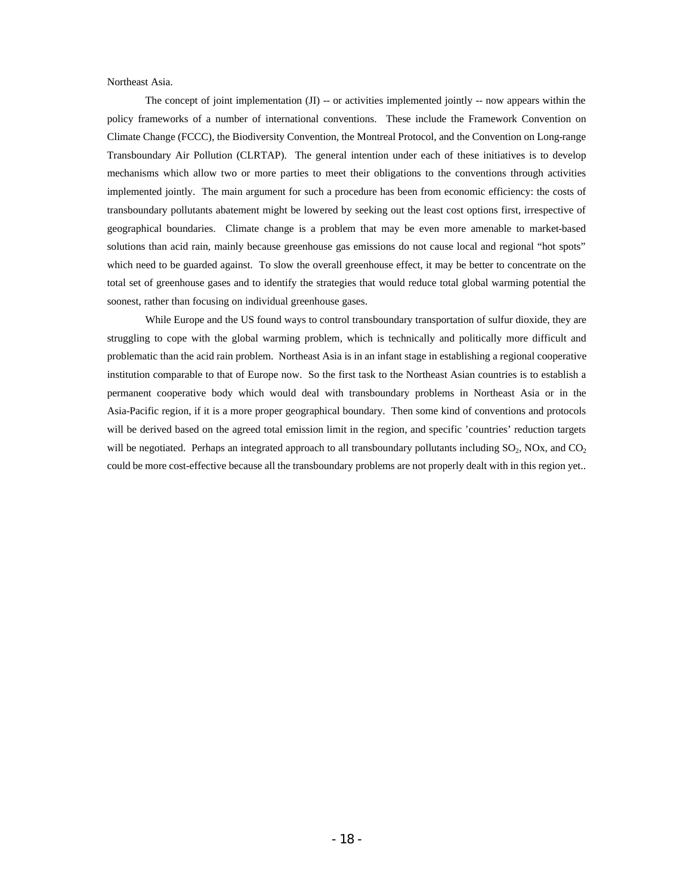Northeast Asia.

The concept of joint implementation  $(J)$  -- or activities implemented jointly -- now appears within the policy frameworks of a number of international conventions. These include the Framework Convention on Climate Change (FCCC), the Biodiversity Convention, the Montreal Protocol, and the Convention on Long-range Transboundary Air Pollution (CLRTAP). The general intention under each of these initiatives is to develop mechanisms which allow two or more parties to meet their obligations to the conventions through activities implemented jointly. The main argument for such a procedure has been from economic efficiency: the costs of transboundary pollutants abatement might be lowered by seeking out the least cost options first, irrespective of geographical boundaries. Climate change is a problem that may be even more amenable to market-based solutions than acid rain, mainly because greenhouse gas emissions do not cause local and regional "hot spots" which need to be guarded against. To slow the overall greenhouse effect, it may be better to concentrate on the total set of greenhouse gases and to identify the strategies that would reduce total global warming potential the soonest, rather than focusing on individual greenhouse gases.

While Europe and the US found ways to control transboundary transportation of sulfur dioxide, they are struggling to cope with the global warming problem, which is technically and politically more difficult and problematic than the acid rain problem. Northeast Asia is in an infant stage in establishing a regional cooperative institution comparable to that of Europe now. So the first task to the Northeast Asian countries is to establish a permanent cooperative body which would deal with transboundary problems in Northeast Asia or in the Asia-Pacific region, if it is a more proper geographical boundary. Then some kind of conventions and protocols will be derived based on the agreed total emission limit in the region, and specific 'countries' reduction targets will be negotiated. Perhaps an integrated approach to all transboundary pollutants including  $SO_2$ , NOx, and  $CO_2$ could be more cost-effective because all the transboundary problems are not properly dealt with in this region yet..